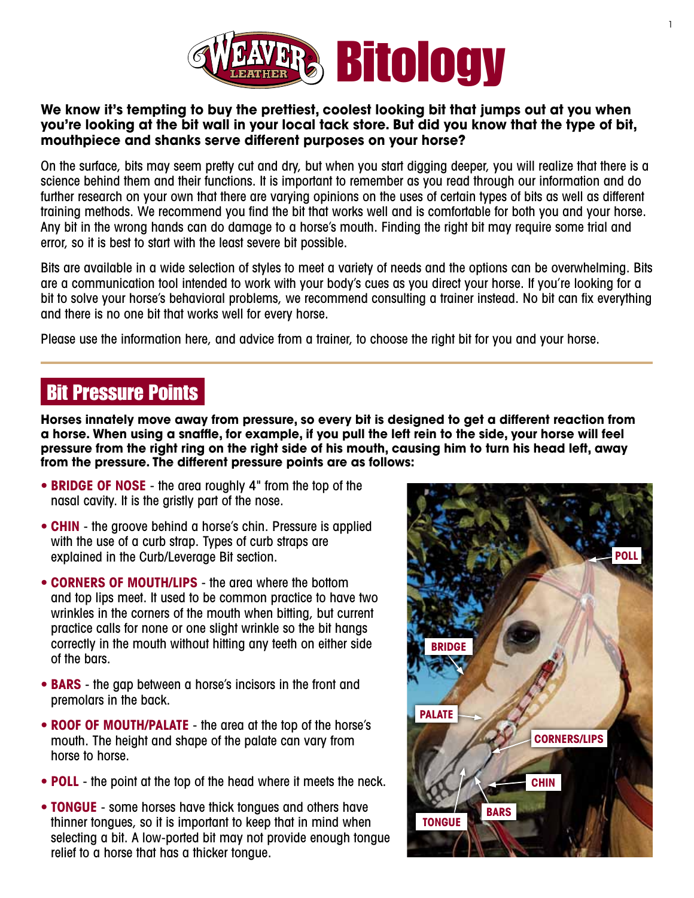

#### **We know it's tempting to buy the prettiest, coolest looking bit that jumps out at you when you're looking at the bit wall in your local tack store. But did you know that the type of bit, mouthpiece and shanks serve different purposes on your horse?**

On the surface, bits may seem pretty cut and dry, but when you start digging deeper, you will realize that there is a science behind them and their functions. It is important to remember as you read through our information and do further research on your own that there are varying opinions on the uses of certain types of bits as well as different training methods. We recommend you find the bit that works well and is comfortable for both you and your horse. Any bit in the wrong hands can do damage to a horse's mouth. Finding the right bit may require some trial and error, so it is best to start with the least severe bit possible.

Bits are available in a wide selection of styles to meet a variety of needs and the options can be overwhelming. Bits are a communication tool intended to work with your body's cues as you direct your horse. If you're looking for a bit to solve your horse's behavioral problems, we recommend consulting a trainer instead. No bit can fix everything and there is no one bit that works well for every horse.

Please use the information here, and advice from a trainer, to choose the right bit for you and your horse.

## Bit Pressure Points

**Horses innately move away from pressure, so every bit is designed to get a different reaction from a horse. When using a snaffle, for example, if you pull the left rein to the side, your horse will feel pressure from the right ring on the right side of his mouth, causing him to turn his head left, away from the pressure. The different pressure points are as follows:**

- **BRIDGE OF NOSE** the area roughly 4" from the top of the nasal cavity. It is the gristly part of the nose.
- **CHIN** the groove behind a horse's chin. Pressure is applied with the use of a curb strap. Types of curb straps are explained in the Curb/Leverage Bit section.
- **• Corners of mouth/lips** the area where the bottom and top lips meet. It used to be common practice to have two wrinkles in the corners of the mouth when bitting, but current practice calls for none or one slight wrinkle so the bit hangs correctly in the mouth without hitting any teeth on either side of the bars.
- **BARS** the gap between a horse's incisors in the front and premolars in the back.
- **• Roof of mouth/palate** the area at the top of the horse's mouth. The height and shape of the palate can vary from horse to horse.
- **POLL** the point at the top of the head where it meets the neck.
- **TONGUE** some horses have thick tongues and others have thinner tongues, so it is important to keep that in mind when selecting a bit. A low-ported bit may not provide enough tongue relief to a horse that has a thicker tongue.

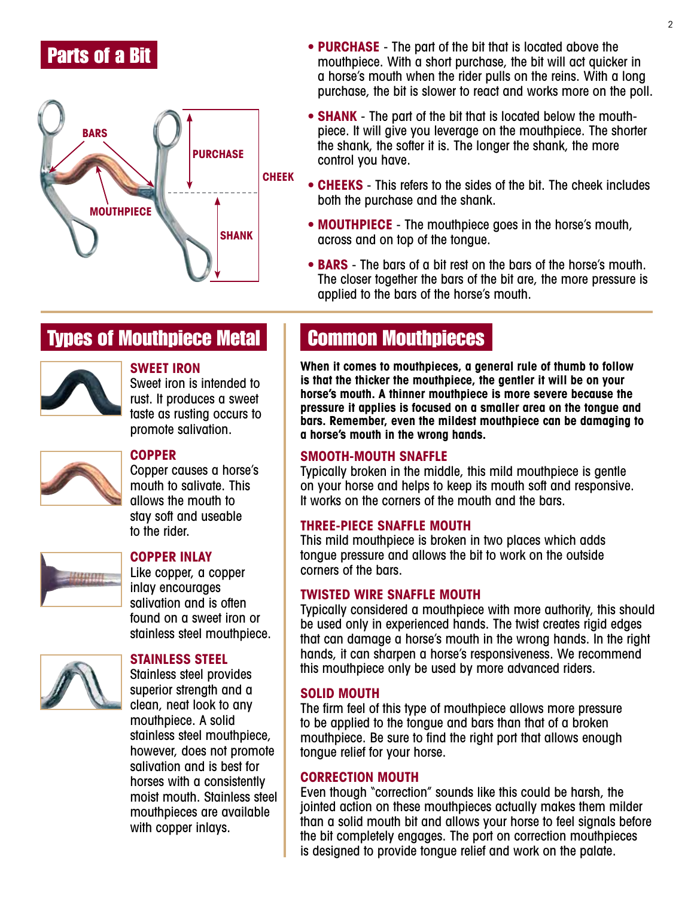### Parts of a Bit



- **PURCHASE** The part of the bit that is located above the mouthpiece. With a short purchase, the bit will act quicker in a horse's mouth when the rider pulls on the reins. With a long purchase, the bit is slower to react and works more on the poll.
- **SHANK** The part of the bit that is located below the mouthpiece. It will give you leverage on the mouthpiece. The shorter the shank, the softer it is. The longer the shank, the more control you have.
- **CHEEKS** This refers to the sides of the bit. The cheek includes both the purchase and the shank.
- **MOUTHPIECE** The mouthpiece goes in the horse's mouth, across and on top of the tongue.
- **BARS** The bars of a bit rest on the bars of the horse's mouth. The closer together the bars of the bit are, the more pressure is applied to the bars of the horse's mouth.

## **Types of Mouthpiece Metal Common Mouthpieces**



#### **Sweet Iron**

Sweet iron is intended to rust. It produces a sweet taste as rusting occurs to promote salivation.



### **Copper**

Copper causes a horse's mouth to salivate. This allows the mouth to stay soft and useable to the rider.



#### **Copper Inlay**

Like copper, a copper inlay encourages salivation and is often found on a sweet iron or stainless steel mouthpiece.



#### **Stainless Steel**

Stainless steel provides superior strength and a clean, neat look to any mouthpiece. A solid stainless steel mouthpiece, however, does not promote salivation and is best for horses with a consistently moist mouth. Stainless steel mouthpieces are available with copper inlays.

**When it comes to mouthpieces, a general rule of thumb to follow is that the thicker the mouthpiece, the gentler it will be on your horse's mouth. A thinner mouthpiece is more severe because the pressure it applies is focused on a smaller area on the tongue and bars. Remember, even the mildest mouthpiece can be damaging to a horse's mouth in the wrong hands.**

#### **Smooth-Mouth Snaffle**

Typically broken in the middle, this mild mouthpiece is gentle on your horse and helps to keep its mouth soft and responsive. It works on the corners of the mouth and the bars.

#### **Three-Piece Snaffle Mouth**

This mild mouthpiece is broken in two places which adds tongue pressure and allows the bit to work on the outside corners of the bars.

#### **Twisted Wire Snaffle Mouth**

Typically considered a mouthpiece with more authority, this should be used only in experienced hands. The twist creates rigid edges that can damage a horse's mouth in the wrong hands. In the right hands, it can sharpen a horse's responsiveness. We recommend this mouthpiece only be used by more advanced riders.

#### **Solid Mouth**

The firm feel of this type of mouthpiece allows more pressure to be applied to the tongue and bars than that of a broken mouthpiece. Be sure to find the right port that allows enough tongue relief for your horse.

#### **Correction Mouth**

Even though "correction" sounds like this could be harsh, the jointed action on these mouthpieces actually makes them milder than a solid mouth bit and allows your horse to feel signals before the bit completely engages. The port on correction mouthpieces is designed to provide tongue relief and work on the palate.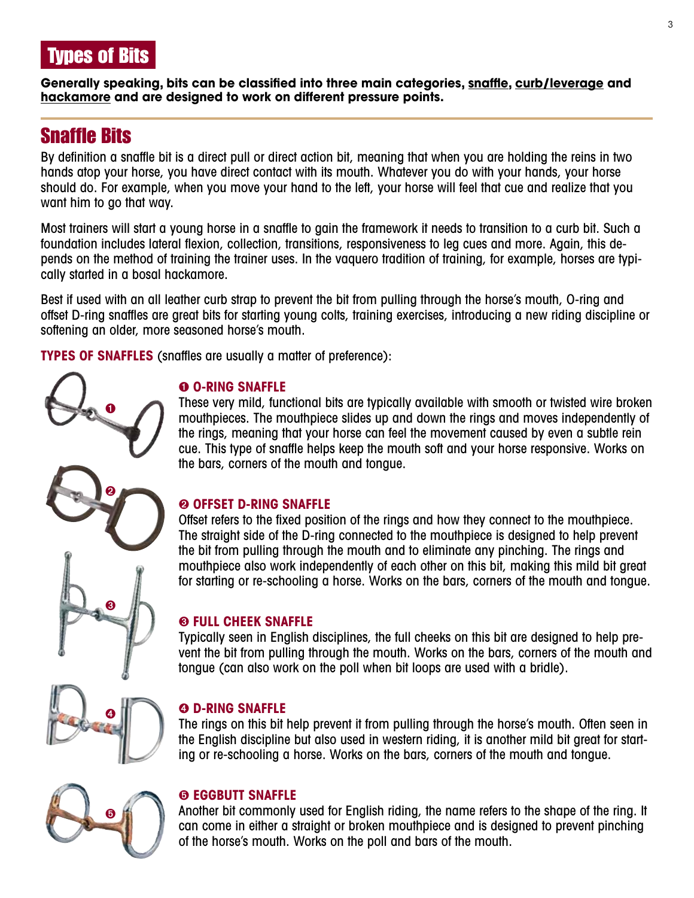

**Generally speaking, bits can be classified into three main categories, snaffle, curb/leverage and hackamore and are designed to work on different pressure points.**

## Snaffle Bits

By definition a snaffle bit is a direct pull or direct action bit, meaning that when you are holding the reins in two hands atop your horse, you have direct contact with its mouth. Whatever you do with your hands, your horse should do. For example, when you move your hand to the left, your horse will feel that cue and realize that you want him to go that way.

Most trainers will start a young horse in a snaffle to gain the framework it needs to transition to a curb bit. Such a foundation includes lateral flexion, collection, transitions, responsiveness to leg cues and more. Again, this depends on the method of training the trainer uses. In the vaquero tradition of training, for example, horses are typically started in a bosal hackamore.

Best if used with an all leather curb strap to prevent the bit from pulling through the horse's mouth, O-ring and offset D-ring snaffles are great bits for starting young colts, training exercises, introducing a new riding discipline or softening an older, more seasoned horse's mouth.

**Types of snaffles** (snaffles are usually a matter of preference):

#### ➊ **O-Ring Snaffle**

These very mild, functional bits are typically available with smooth or twisted wire broken mouthpieces. The mouthpiece slides up and down the rings and moves independently of the rings, meaning that your horse can feel the movement caused by even a subtle rein cue. This type of snaffle helps keep the mouth soft and your horse responsive. Works on the bars, corners of the mouth and tongue.

#### ➋ **Offset D-Ring Snaffle**

Offset refers to the fixed position of the rings and how they connect to the mouthpiece. The straight side of the D-ring connected to the mouthpiece is designed to help prevent the bit from pulling through the mouth and to eliminate any pinching. The rings and mouthpiece also work independently of each other on this bit, making this mild bit great for starting or re-schooling a horse. Works on the bars, corners of the mouth and tongue.

#### ➌ **Full Cheek Snaffle**

Typically seen in English disciplines, the full cheeks on this bit are designed to help prevent the bit from pulling through the mouth. Works on the bars, corners of the mouth and tongue (can also work on the poll when bit loops are used with a bridle).

# ➍

➊

➋

➌

#### ➍ **D-Ring Snaffle**

The rings on this bit help prevent it from pulling through the horse's mouth. Often seen in the English discipline but also used in western riding, it is another mild bit great for starting or re-schooling a horse. Works on the bars, corners of the mouth and tongue.

## ➎

#### ➎ **Eggbutt Snaffle**

Another bit commonly used for English riding, the name refers to the shape of the ring. It can come in either a straight or broken mouthpiece and is designed to prevent pinching of the horse's mouth. Works on the poll and bars of the mouth.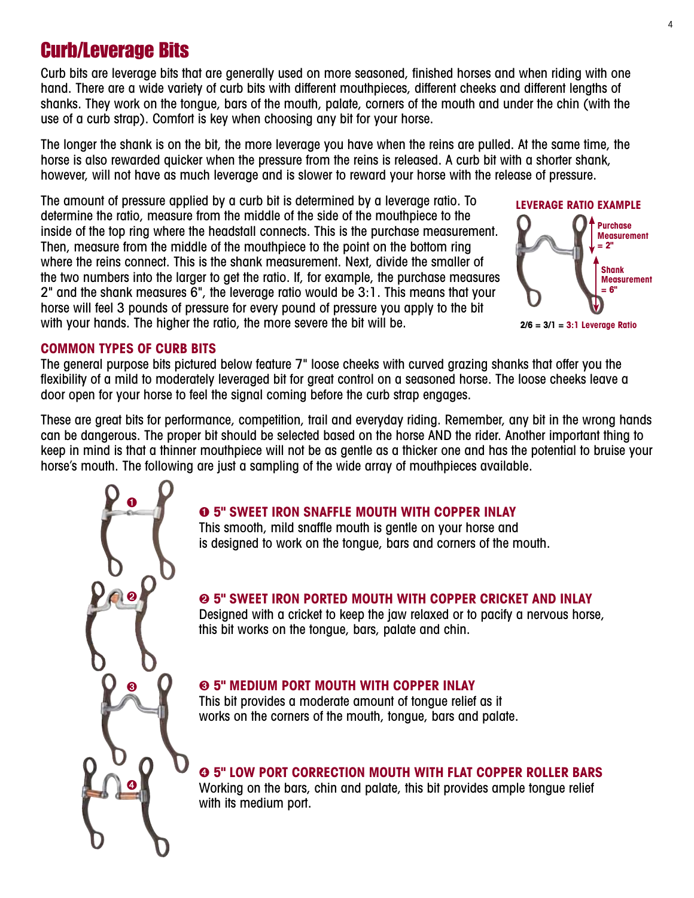## Curb/Leverage Bits

Curb bits are leverage bits that are generally used on more seasoned, finished horses and when riding with one hand. There are a wide variety of curb bits with different mouthpieces, different cheeks and different lengths of shanks. They work on the tongue, bars of the mouth, palate, corners of the mouth and under the chin (with the use of a curb strap). Comfort is key when choosing any bit for your horse.

The longer the shank is on the bit, the more leverage you have when the reins are pulled. At the same time, the horse is also rewarded quicker when the pressure from the reins is released. A curb bit with a shorter shank, however, will not have as much leverage and is slower to reward your horse with the release of pressure.

The amount of pressure applied by a curb bit is determined by a leverage ratio. To determine the ratio, measure from the middle of the side of the mouthpiece to the inside of the top ring where the headstall connects. This is the purchase measurement. Then, measure from the middle of the mouthpiece to the point on the bottom ring where the reins connect. This is the shank measurement. Next, divide the smaller of the two numbers into the larger to get the ratio. If, for example, the purchase measures 2" and the shank measures 6", the leverage ratio would be 3:1. This means that your horse will feel 3 pounds of pressure for every pound of pressure you apply to the bit with your hands. The higher the ratio, the more severe the bit will be.



**2/6 = 3/1 = 3:1 Leverage Ratio**

#### **Common Types of Curb Bits**

➊

➋

➌

➍

The general purpose bits pictured below feature 7" loose cheeks with curved grazing shanks that offer you the flexibility of a mild to moderately leveraged bit for great control on a seasoned horse. The loose cheeks leave a door open for your horse to feel the signal coming before the curb strap engages.

These are great bits for performance, competition, trail and everyday riding. Remember, any bit in the wrong hands can be dangerous. The proper bit should be selected based on the horse AND the rider. Another important thing to keep in mind is that a thinner mouthpiece will not be as gentle as a thicker one and has the potential to bruise your horse's mouth. The following are just a sampling of the wide array of mouthpieces available.

#### ➊ **5" Sweet Iron Snaffle Mouth with Copper Inlay**

This smooth, mild snaffle mouth is gentle on your horse and is designed to work on the tongue, bars and corners of the mouth.

#### ➋ **5" Sweet Iron Ported Mouth with Copper Cricket and Inlay**

Designed with a cricket to keep the jaw relaxed or to pacify a nervous horse, this bit works on the tongue, bars, palate and chin.

#### ➌ **5" Medium Port Mouth with Copper Inlay**

This bit provides a moderate amount of tongue relief as it works on the corners of the mouth, tongue, bars and palate.

➍ **5" Low Port Correction Mouth with Flat Copper Roller Bars**

Working on the bars, chin and palate, this bit provides ample tongue relief with its medium port.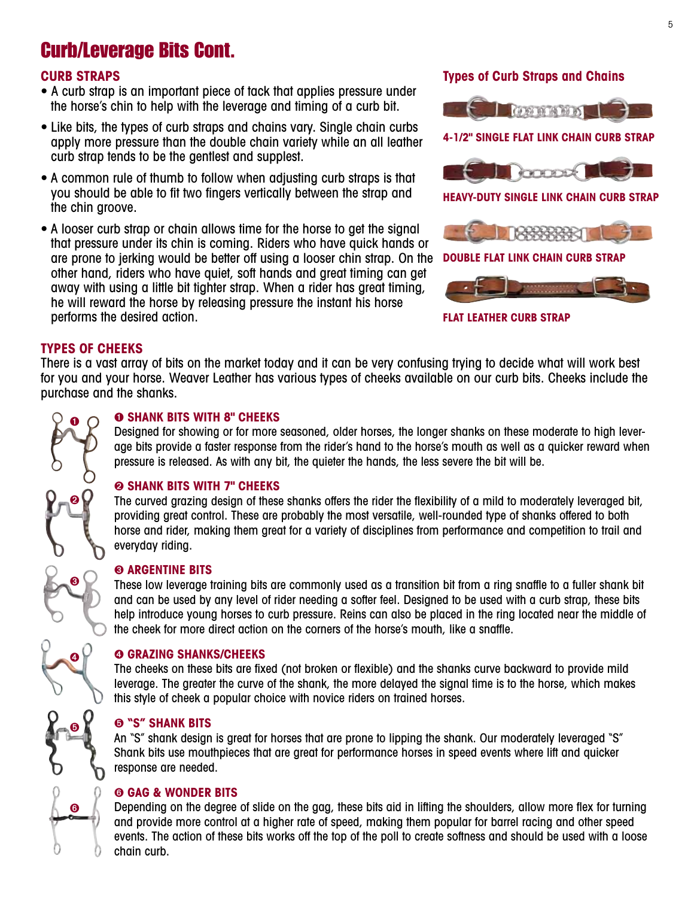## Curb/Leverage Bits Cont.

#### **CURB straps**

- **•** A curb strap is an important piece of tack that applies pressure under the horse's chin to help with the leverage and timing of a curb bit.
- Like bits, the types of curb straps and chains vary. Single chain curbs apply more pressure than the double chain variety while an all leather curb strap tends to be the gentlest and supplest.
- A common rule of thumb to follow when adjusting curb straps is that you should be able to fit two fingers vertically between the strap and the chin groove.
- A looser curb strap or chain allows time for the horse to get the signal that pressure under its chin is coming. Riders who have quick hands or are prone to jerking would be better off using a looser chin strap. On the other hand, riders who have quiet, soft hands and great timing can get away with using a little bit tighter strap. When a rider has great timing, he will reward the horse by releasing pressure the instant his horse performs the desired action.

#### **Types of Curb Straps and Chains**



**Flat Leather Curb Strap**

#### **Types of Cheeks**

There is a vast array of bits on the market today and it can be very confusing trying to decide what will work best for you and your horse. Weaver Leather has various types of cheeks available on our curb bits. Cheeks include the purchase and the shanks.

## ➊ ➋ ➌ ➍ ➎ ➏

#### ➊ **Shank Bits with 8" Cheeks**

Designed for showing or for more seasoned, older horses, the longer shanks on these moderate to high leverage bits provide a faster response from the rider's hand to the horse's mouth as well as a quicker reward when pressure is released. As with any bit, the quieter the hands, the less severe the bit will be.

#### ➋ **Shank Bits with 7" Cheeks**

The curved grazing design of these shanks offers the rider the flexibility of a mild to moderately leveraged bit, providing great control. These are probably the most versatile, well-rounded type of shanks offered to both horse and rider, making them great for a variety of disciplines from performance and competition to trail and everyday riding.

#### ➌ **Argentine Bits**

These low leverage training bits are commonly used as a transition bit from a ring snaffle to a fuller shank bit and can be used by any level of rider needing a softer feel. Designed to be used with a curb strap, these bits help introduce young horses to curb pressure. Reins can also be placed in the ring located near the middle of the cheek for more direct action on the corners of the horse's mouth, like a snaffle.

#### ➍ **Grazing Shanks/Cheeks**

The cheeks on these bits are fixed (not broken or flexible) and the shanks curve backward to provide mild leverage. The greater the curve of the shank, the more delayed the signal time is to the horse, which makes this style of cheek a popular choice with novice riders on trained horses.

#### ➎ **"S" Shank Bits**

An "S" shank design is great for horses that are prone to lipping the shank. Our moderately leveraged "S" Shank bits use mouthpieces that are great for performance horses in speed events where lift and quicker response are needed.

#### ➏ **Gag & Wonder Bits**

Depending on the degree of slide on the gag, these bits aid in lifting the shoulders, allow more flex for turning and provide more control at a higher rate of speed, making them popular for barrel racing and other speed events. The action of these bits works off the top of the poll to create softness and should be used with a loose chain curb.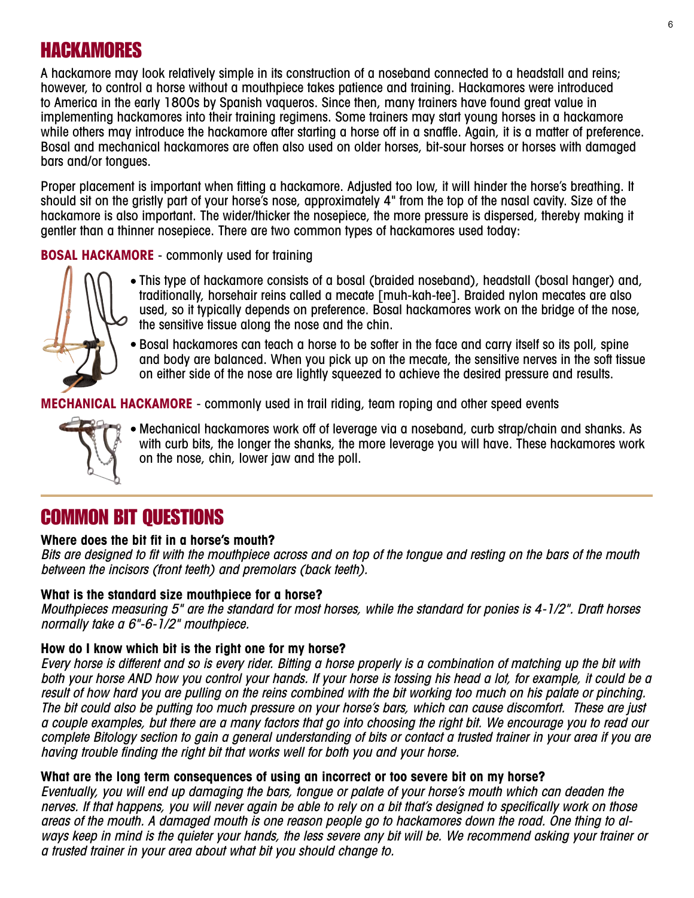## HACKAMORES

A hackamore may look relatively simple in its construction of a noseband connected to a headstall and reins; however, to control a horse without a mouthpiece takes patience and training. Hackamores were introduced to America in the early 1800s by Spanish vaqueros. Since then, many trainers have found great value in implementing hackamores into their training regimens. Some trainers may start young horses in a hackamore while others may introduce the hackamore after starting a horse off in a snaffle. Again, it is a matter of preference. Bosal and mechanical hackamores are often also used on older horses, bit-sour horses or horses with damaged bars and/or tongues.

Proper placement is important when fitting a hackamore. Adjusted too low, it will hinder the horse's breathing. It should sit on the gristly part of your horse's nose, approximately 4" from the top of the nasal cavity. Size of the hackamore is also important. The wider/thicker the nosepiece, the more pressure is dispersed, thereby making it gentler than a thinner nosepiece. There are two common types of hackamores used today:

**BOSAL HACKAMORE** - commonly used for training



- This type of hackamore consists of a bosal (braided noseband), headstall (bosal hanger) and, traditionally, horsehair reins called a mecate [muh-kah-tee]. Braided nylon mecates are also used, so it typically depends on preference. Bosal hackamores work on the bridge of the nose, the sensitive tissue along the nose and the chin.
- $\bullet$  Bosal hackamores can teach a horse to be softer in the face and carry itself so its poll, spine and body are balanced. When you pick up on the mecate, the sensitive nerves in the soft tissue on either side of the nose are lightly squeezed to achieve the desired pressure and results.

**MECHANICAL HACKAMORE** - commonly used in trail riding, team roping and other speed events



Mechanical hackamores work off of leverage via a noseband, curb strap/chain and shanks. As with curb bits, the longer the shanks, the more leverage you will have. These hackamores work on the nose, chin, lower jaw and the poll.

## COMMON BIT QUESTIONS

#### **Where does the bit fit in a horse's mouth?**

Bits are designed to fit with the mouthpiece across and on top of the tongue and resting on the bars of the mouth between the incisors (front teeth) and premolars (back teeth).

#### **What is the standard size mouthpiece for a horse?**

Mouthpieces measuring 5" are the standard for most horses, while the standard for ponies is 4-1/2". Draft horses normally take a 6"-6-1/2" mouthpiece.

#### **How do I know which bit is the right one for my horse?**

Every horse is different and so is every rider. Bitting a horse properly is a combination of matching up the bit with both your horse AND how you control your hands. If your horse is tossing his head a lot, for example, it could be a result of how hard you are pulling on the reins combined with the bit working too much on his palate or pinching. The bit could also be putting too much pressure on your horse's bars, which can cause discomfort. These are just a couple examples, but there are a many factors that go into choosing the right bit. We encourage you to read our complete Bitology section to gain a general understanding of bits or contact a trusted trainer in your area if you are having trouble finding the right bit that works well for both you and your horse.

#### **What are the long term consequences of using an incorrect or too severe bit on my horse?**

Eventually, you will end up damaging the bars, tongue or palate of your horse's mouth which can deaden the nerves. If that happens, you will never again be able to rely on a bit that's designed to specifically work on those areas of the mouth. A damaged mouth is one reason people go to hackamores down the road. One thing to always keep in mind is the quieter your hands, the less severe any bit will be. We recommend asking your trainer or a trusted trainer in your area about what bit you should change to.